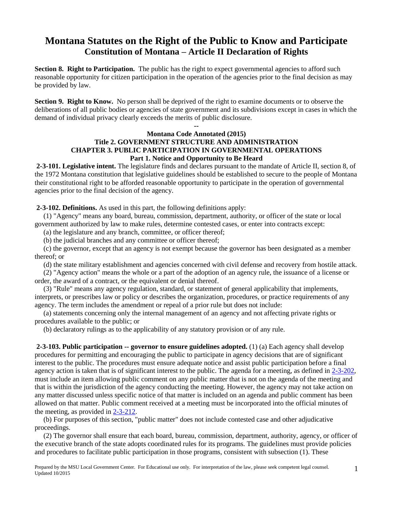# **Montana Statutes on the Right of the Public to Know and Participate Constitution of Montana – Article II Declaration of Rights**

**Section 8. Right to Participation.** The public has the right to expect governmental agencies to afford such reasonable opportunity for citizen participation in the operation of the agencies prior to the final decision as may be provided by law.

**Section 9. Right to Know.** No person shall be deprived of the right to examine documents or to observe the deliberations of all public bodies or agencies of state government and its subdivisions except in cases in which the demand of individual privacy clearly exceeds the merits of public disclosure.

#### **-- Montana Code Annotated (2015) Title 2. GOVERNMENT STRUCTURE AND ADMINISTRATION CHAPTER 3. PUBLIC PARTICIPATION IN GOVERNMENTAL OPERATIONS Part 1. Notice and Opportunity to Be Heard**

**2-3-101. Legislative intent.** The legislature finds and declares pursuant to the mandate of Article II, section 8, of the 1972 Montana constitution that legislative guidelines should be established to secure to the people of Montana their constitutional right to be afforded reasonable opportunity to participate in the operation of governmental agencies prior to the final decision of the agency.

**2-3-102. Definitions.** As used in this part, the following definitions apply:

 (1) "Agency" means any board, bureau, commission, department, authority, or officer of the state or local government authorized by law to make rules, determine contested cases, or enter into contracts except:

(a) the legislature and any branch, committee, or officer thereof;

(b) the judicial branches and any committee or officer thereof;

 (c) the governor, except that an agency is not exempt because the governor has been designated as a member thereof; or

(d) the state military establishment and agencies concerned with civil defense and recovery from hostile attack.

 (2) "Agency action" means the whole or a part of the adoption of an agency rule, the issuance of a license or order, the award of a contract, or the equivalent or denial thereof.

 (3) "Rule" means any agency regulation, standard, or statement of general applicability that implements, interprets, or prescribes law or policy or describes the organization, procedures, or practice requirements of any agency. The term includes the amendment or repeal of a prior rule but does not include:

 (a) statements concerning only the internal management of an agency and not affecting private rights or procedures available to the public; or

(b) declaratory rulings as to the applicability of any statutory provision or of any rule.

**2-3-103. Public participation -- governor to ensure guidelines adopted.** (1) (a) Each agency shall develop procedures for permitting and encouraging the public to participate in agency decisions that are of significant interest to the public. The procedures must ensure adequate notice and assist public participation before a final agency action is taken that is of significant interest to the public. The agenda for a meeting, as defined in [2-3-202,](http://data.opi.state.mt.us/bills/mca/2/3/2-3-202.htm) must include an item allowing public comment on any public matter that is not on the agenda of the meeting and that is within the jurisdiction of the agency conducting the meeting. However, the agency may not take action on any matter discussed unless specific notice of that matter is included on an agenda and public comment has been allowed on that matter. Public comment received at a meeting must be incorporated into the official minutes of the meeting, as provided in [2-3-212.](http://data.opi.state.mt.us/bills/mca/2/3/2-3-212.htm)

 (b) For purposes of this section, "public matter" does not include contested case and other adjudicative proceedings.

 (2) The governor shall ensure that each board, bureau, commission, department, authority, agency, or officer of the executive branch of the state adopts coordinated rules for its programs. The guidelines must provide policies and procedures to facilitate public participation in those programs, consistent with subsection (1). These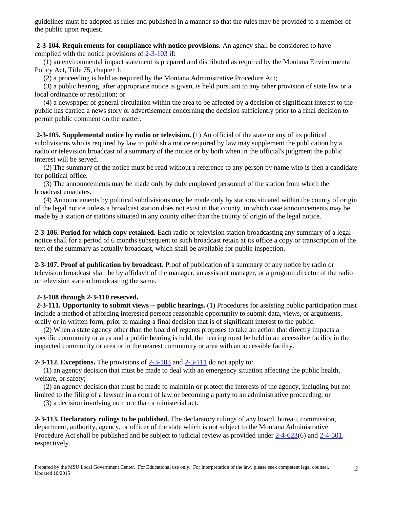guidelines must be adopted as rules and published in a manner so that the rules may be provided to a member of the public upon request.

**2-3-104. Requirements for compliance with notice provisions.** An agency shall be considered to have complied with the notice provisions of [2-3-103](http://data.opi.state.mt.us/bills/mca/2/3/2-3-103.htm) if:

 (1) an environmental impact statement is prepared and distributed as required by the Montana Environmental Policy Act, Title 75, chapter 1;

(2) a proceeding is held as required by the Montana Administrative Procedure Act;

 (3) a public hearing, after appropriate notice is given, is held pursuant to any other provision of state law or a local ordinance or resolution; or

 (4) a newspaper of general circulation within the area to be affected by a decision of significant interest to the public has carried a news story or advertisement concerning the decision sufficiently prior to a final decision to permit public comment on the matter.

**2-3-105. Supplemental notice by radio or television.** (1) An official of the state or any of its political subdivisions who is required by law to publish a notice required by law may supplement the publication by a radio or television broadcast of a summary of the notice or by both when in the official's judgment the public interest will be served.

 (2) The summary of the notice must be read without a reference to any person by name who is then a candidate for political office.

 (3) The announcements may be made only by duly employed personnel of the station from which the broadcast emanates.

 (4) Announcements by political subdivisions may be made only by stations situated within the county of origin of the legal notice unless a broadcast station does not exist in that county, in which case announcements may be made by a station or stations situated in any county other than the county of origin of the legal notice.

**2-3-106. Period for which copy retained.** Each radio or television station broadcasting any summary of a legal notice shall for a period of 6 months subsequent to such broadcast retain at its office a copy or transcription of the text of the summary as actually broadcast, which shall be available for public inspection.

**2-3-107. Proof of publication by broadcast.** Proof of publication of a summary of any notice by radio or television broadcast shall be by affidavit of the manager, an assistant manager, or a program director of the radio or television station broadcasting the same.

# **2-3-108 through 2-3-110 reserved.**

**2-3-111. Opportunity to submit views -- public hearings.** (1) Procedures for assisting public participation must include a method of affording interested persons reasonable opportunity to submit data, views, or arguments, orally or in written form, prior to making a final decision that is of significant interest to the public.

 (2) When a state agency other than the board of regents proposes to take an action that directly impacts a specific community or area and a public hearing is held, the hearing must be held in an accessible facility in the impacted community or area or in the nearest community or area with an accessible facility.

**2-3-112. Exceptions.** The provisions of [2-3-103](http://data.opi.state.mt.us/bills/mca/2/3/2-3-103.htm) an[d 2-3-111](http://data.opi.state.mt.us/bills/mca/2/3/2-3-111.htm) do not apply to:

 (1) an agency decision that must be made to deal with an emergency situation affecting the public health, welfare, or safety;

 (2) an agency decision that must be made to maintain or protect the interests of the agency, including but not limited to the filing of a lawsuit in a court of law or becoming a party to an administrative proceeding; or

(3) a decision involving no more than a ministerial act.

**2-3-113. Declaratory rulings to be published.** The declaratory rulings of any board, bureau, commission, department, authority, agency, or officer of the state which is not subject to the Montana Administrative Procedure Act shall be published and be subject to judicial review as provided under [2-4-623\(](http://data.opi.state.mt.us/bills/mca/2/4/2-4-623.htm)6) and [2-4-501,](http://data.opi.state.mt.us/bills/mca/2/4/2-4-501.htm) respectively.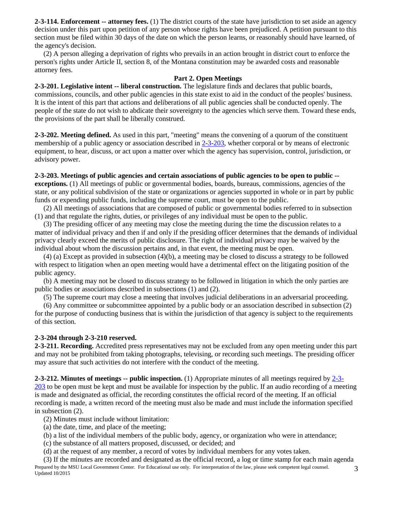**2-3-114. Enforcement -- attorney fees.** (1) The district courts of the state have jurisdiction to set aside an agency decision under this part upon petition of any person whose rights have been prejudiced. A petition pursuant to this section must be filed within 30 days of the date on which the person learns, or reasonably should have learned, of the agency's decision.

 (2) A person alleging a deprivation of rights who prevails in an action brought in district court to enforce the person's rights under Article II, section 8, of the Montana constitution may be awarded costs and reasonable attorney fees.

### **Part 2. Open Meetings**

**2-3-201. Legislative intent -- liberal construction.** The legislature finds and declares that public boards, commissions, councils, and other public agencies in this state exist to aid in the conduct of the peoples' business. It is the intent of this part that actions and deliberations of all public agencies shall be conducted openly. The people of the state do not wish to abdicate their sovereignty to the agencies which serve them. Toward these ends, the provisions of the part shall be liberally construed.

**2-3-202. Meeting defined.** As used in this part, "meeting" means the convening of a quorum of the constituent membership of a public agency or association described in [2-3-203,](http://data.opi.state.mt.us/bills/mca/2/3/2-3-203.htm) whether corporal or by means of electronic equipment, to hear, discuss, or act upon a matter over which the agency has supervision, control, jurisdiction, or advisory power.

**2-3-203. Meetings of public agencies and certain associations of public agencies to be open to public - exceptions.** (1) All meetings of public or governmental bodies, boards, bureaus, commissions, agencies of the state, or any political subdivision of the state or organizations or agencies supported in whole or in part by public funds or expending public funds, including the supreme court, must be open to the public.

 (2) All meetings of associations that are composed of public or governmental bodies referred to in subsection (1) and that regulate the rights, duties, or privileges of any individual must be open to the public.

 (3) The presiding officer of any meeting may close the meeting during the time the discussion relates to a matter of individual privacy and then if and only if the presiding officer determines that the demands of individual privacy clearly exceed the merits of public disclosure. The right of individual privacy may be waived by the individual about whom the discussion pertains and, in that event, the meeting must be open.

 (4) (a) Except as provided in subsection (4)(b), a meeting may be closed to discuss a strategy to be followed with respect to litigation when an open meeting would have a detrimental effect on the litigating position of the public agency.

 (b) A meeting may not be closed to discuss strategy to be followed in litigation in which the only parties are public bodies or associations described in subsections (1) and (2).

(5) The supreme court may close a meeting that involves judicial deliberations in an adversarial proceeding.

 (6) Any committee or subcommittee appointed by a public body or an association described in subsection (2) for the purpose of conducting business that is within the jurisdiction of that agency is subject to the requirements of this section.

# **2-3-204 through 2-3-210 reserved.**

**2-3-211. Recording.** Accredited press representatives may not be excluded from any open meeting under this part and may not be prohibited from taking photographs, televising, or recording such meetings. The presiding officer may assure that such activities do not interfere with the conduct of the meeting.

**2-3-212. Minutes of meetings -- public inspection.** (1) Appropriate minutes of all meetings required by [2-3-](http://leg.mt.gov/bills/mca/2/3/2-3-203.htm) [203](http://leg.mt.gov/bills/mca/2/3/2-3-203.htm) to be open must be kept and must be available for inspection by the public. If an audio recording of a meeting is made and designated as official, the recording constitutes the official record of the meeting. If an official recording is made, a written record of the meeting must also be made and must include the information specified in subsection (2).

(2) Minutes must include without limitation:

- (a) the date, time, and place of the meeting;
- (b) a list of the individual members of the public body, agency, or organization who were in attendance;
- (c) the substance of all matters proposed, discussed, or decided; and
- (d) at the request of any member, a record of votes by individual members for any votes taken.

Prepared by the MSU Local Government Center. For Educational use only. For interpretation of the law, please seek competent legal counsel. Updated 10/2015 (3) If the minutes are recorded and designated as the official record, a log or time stamp for each main agenda